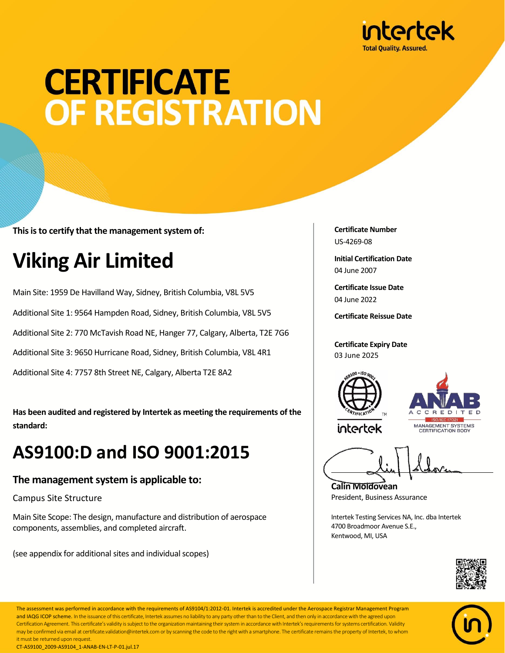

# **CERTIFICATE OF REGISTRATION**

**This is to certify that the management system of:**

### **Viking Air Limited**

Main Site: 1959 De Havilland Way, Sidney, British Columbia, V8L 5V5 Additional Site 1: 9564 Hampden Road, Sidney, British Columbia, V8L 5V5 Additional Site 2: 770 McTavish Road NE, Hanger 77, Calgary, Alberta, T2E 7G6 Additional Site 3: 9650 Hurricane Road, Sidney, British Columbia, V8L 4R1 Additional Site 4: 7757 8th Street NE, Calgary, Alberta T2E 8A2

**Has been audited and registered by Intertek as meeting the requirements of the standard:**

### **AS9100:D and ISO 9001:2015**

#### **The management system is applicable to:**

Campus Site Structure

Main Site Scope: The design, manufacture and distribution of aerospace components, assemblies, and completed aircraft.

(see appendix for additional sites and individual scopes)

**Certificate Number** US-4269-08

**Initial Certification Date** 04 June 2007

**Certificate Issue Date** 04 June 2022

**Certificate Reissue Date**

**Certificate Expiry Date** 03 June 2025



intertek



**Calin Moldovean** President, Business Assurance

Intertek Testing Services NA, Inc. dba Intertek 4700 Broadmoor Avenue S.E., Kentwood, MI, USA





The assessment was performed in accordance with the requirements of AS9104/1:2012-01. Intertek is accredited under the Aerospace Registrar Management Program and IAQG ICOP scheme. In the issuance of this certificate, Intertek assumes no liability to any party other than to the Client, and then only in accordance with the agreed upon Certification Agreement. This certificate's validity is subject to the organization maintaining their system in accordance with Intertek's requirements for systems certification. Validity may be confirmed via email at certificate.validation@intertek.com or by scanning the code to the right with a smartphone. The certificate remains the property of Intertek, to whom it must be returned upon request. CT-AS9100\_2009-AS9104\_1-ANAB-EN-LT-P-01.jul.17